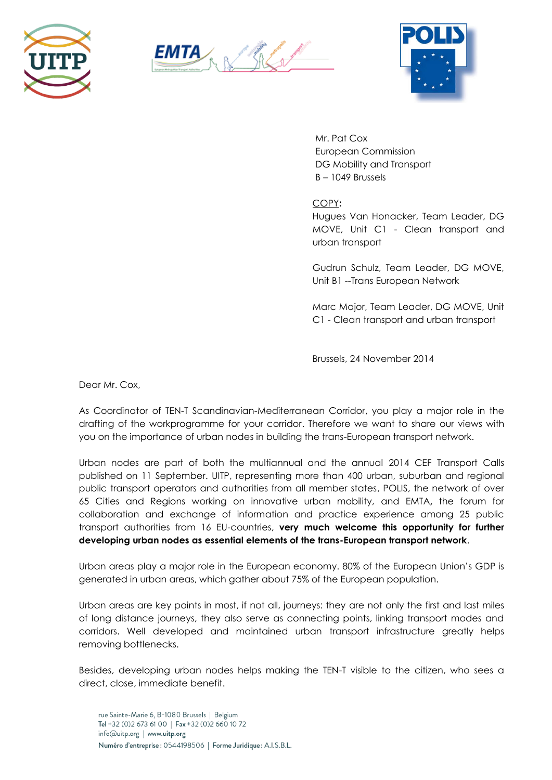





Mr. Pat Cox European Commission DG Mobility and Transport B – 1049 Brussels

COPY**:**

Hugues Van Honacker, Team Leader, DG MOVE, Unit C1 - Clean transport and urban transport

Gudrun Schulz, Team Leader, DG MOVE, Unit B1 --Trans European Network

Marc Major, Team Leader, DG MOVE, Unit C1 - Clean transport and urban transport

Brussels, 24 November 2014

Dear Mr. Cox,

As Coordinator of TEN-T Scandinavian-Mediterranean Corridor, you play a major role in the drafting of the workprogramme for your corridor. Therefore we want to share our views with you on the importance of urban nodes in building the trans-European transport network.

Urban nodes are part of both the multiannual and the annual 2014 CEF Transport Calls published on 11 September. UITP, representing more than 400 urban, suburban and regional public transport operators and authorities from all member states, POLIS, the network of over 65 Cities and Regions working on innovative urban mobility, and EMTA**,** the forum for collaboration and exchange of information and practice experience among 25 public transport authorities from 16 EU-countries, **very much welcome this opportunity for further developing urban nodes as essential elements of the trans-European transport network**.

Urban areas play a major role in the European economy. 80% of the European Union's GDP is generated in urban areas, which gather about 75% of the European population.

Urban areas are key points in most, if not all, journeys: they are not only the first and last miles of long distance journeys, they also serve as connecting points, linking transport modes and corridors. Well developed and maintained urban transport infrastructure greatly helps removing bottlenecks.

Besides, developing urban nodes helps making the TEN-T visible to the citizen, who sees a direct, close, immediate benefit.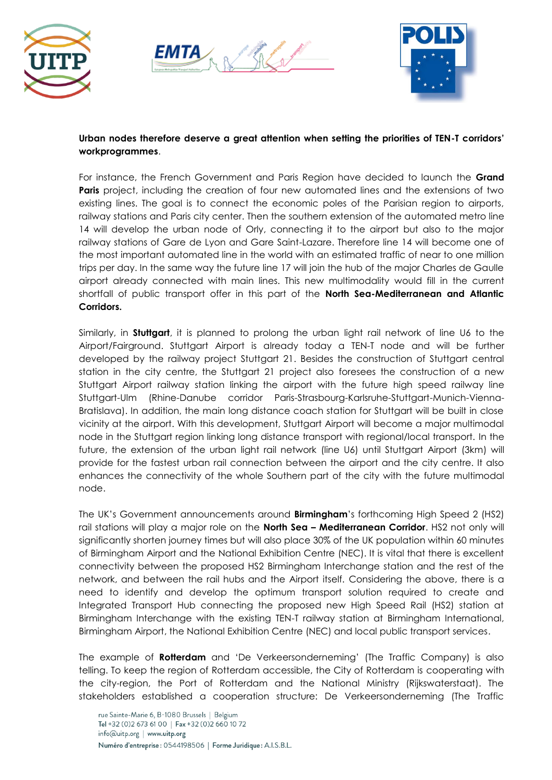





## **Urban nodes therefore deserve a great attention when setting the priorities of TEN-T corridors' workprogrammes**.

For instance, the French Government and Paris Region have decided to launch the **Grand Paris** project, including the creation of four new automated lines and the extensions of two existing lines. The goal is to connect the economic poles of the Parisian region to airports, railway stations and Paris city center. Then the southern extension of the automated metro line 14 will develop the urban node of Orly, connecting it to the airport but also to the major railway stations of Gare de Lyon and Gare Saint-Lazare. Therefore line 14 will become one of the most important automated line in the world with an estimated traffic of near to one million trips per day. In the same way the future line 17 will join the hub of the major Charles de Gaulle airport already connected with main lines. This new multimodality would fill in the current shortfall of public transport offer in this part of the **North Sea-Mediterranean and Atlantic Corridors.**

Similarly, in **Stuttgart**, it is planned to prolong the urban light rail network of line U6 to the Airport/Fairground. Stuttgart Airport is already today a TEN-T node and will be further developed by the railway project Stuttgart 21. Besides the construction of Stuttgart central station in the city centre, the Stuttgart 21 project also foresees the construction of a new Stuttgart Airport railway station linking the airport with the future high speed railway line Stuttgart-Ulm (Rhine-Danube corridor Paris-Strasbourg-Karlsruhe-Stuttgart-Munich-Vienna-Bratislava). In addition, the main long distance coach station for Stuttgart will be built in close vicinity at the airport. With this development, Stuttgart Airport will become a major multimodal node in the Stuttgart region linking long distance transport with regional/local transport. In the future, the extension of the urban light rail network (line U6) until Stuttgart Airport (3km) will provide for the fastest urban rail connection between the airport and the city centre. It also enhances the connectivity of the whole Southern part of the city with the future multimodal node.

The UK's Government announcements around **Birmingham**'s forthcoming High Speed 2 (HS2) rail stations will play a major role on the **North Sea – Mediterranean Corridor**. HS2 not only will significantly shorten journey times but will also place 30% of the UK population within 60 minutes of Birmingham Airport and the National Exhibition Centre (NEC). It is vital that there is excellent connectivity between the proposed HS2 Birmingham Interchange station and the rest of the network, and between the rail hubs and the Airport itself. Considering the above, there is a need to identify and develop the optimum transport solution required to create and Integrated Transport Hub connecting the proposed new High Speed Rail (HS2) station at Birmingham Interchange with the existing TEN-T railway station at Birmingham International, Birmingham Airport, the National Exhibition Centre (NEC) and local public transport services.

The example of **Rotterdam** and 'De Verkeersonderneming' (The Traffic Company) is also telling. To keep the region of Rotterdam accessible, the City of Rotterdam is cooperating with the city-region, the Port of Rotterdam and the National Ministry (Rijkswaterstaat). The stakeholders established a cooperation structure: De Verkeersonderneming (The Traffic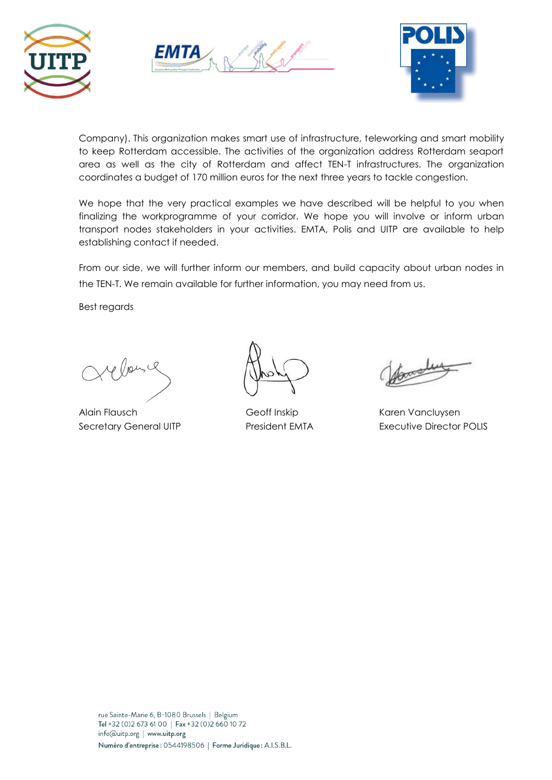





Company). This organization makes smart use of infrastructure, teleworking and smart mobility to keep Rotterdam accessible. The activities of the organization address Rotterdam seaport area as well as the city of Rotterdam and affect TEN-T infrastructures. The organization coordinates a budget of 170 million euros for the next three years to tackle congestion.

We hope that the very practical examples we have described will be helpful to you when finalizing the workprogramme of your corridor. We hope you will involve or inform urban transport nodes stakeholders in your activities. EMTA, Polis and UITP are available to help establishing contact if needed.

From our side, we will further inform our members, and build capacity about urban nodes in the TEN-T. We remain available for further information, you may need from us.

Best regards

Alain Flausch Geoff Inskip Karen Vancluysen

Secretary General UITP President EMTA Executive Director POLIS